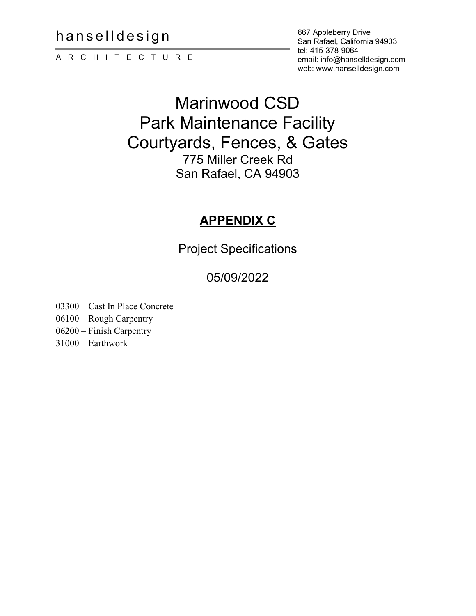hanselldesign

ARCHITECTURE

667 Appleberry Drive San Rafael, California 94903 tel: 415-378-9064 email: info@hanselldesign.com web: www.hanselldesign.com

# Marinwood CSD Park Maintenance Facility Courtyards, Fences, & Gates 775 Miller Creek Rd San Rafael, CA 94903

# **APPENDIX C**

Project Specifications

# 05/09/2022

03300 – Cast In Place Concrete 06100 – Rough Carpentry 06200 – Finish Carpentry

31000 – Earthwork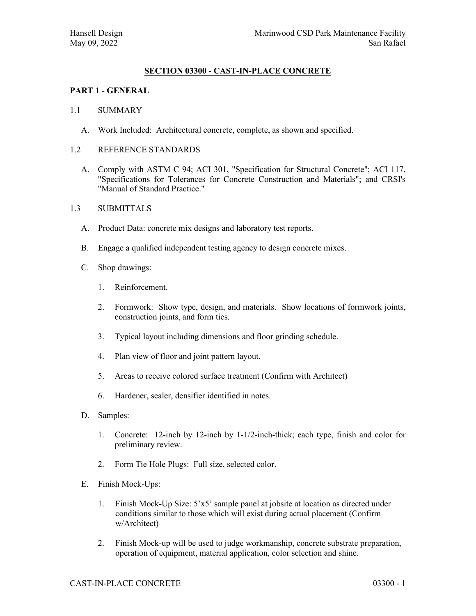# **SECTION 03300 - CAST-IN-PLACE CONCRETE**

# **PART 1 - GENERAL**

#### 1.1 SUMMARY

A. Work Included: Architectural concrete, complete, as shown and specified.

#### 1.2 REFERENCE STANDARDS

- A. Comply with ASTM C 94; ACI 301, "Specification for Structural Concrete"; ACI 117, "Specifications for Tolerances for Concrete Construction and Materials"; and CRSI's "Manual of Standard Practice."
- 1.3 SUBMITTALS
	- A. Product Data: concrete mix designs and laboratory test reports.
	- B. Engage a qualified independent testing agency to design concrete mixes.
	- C. Shop drawings:
		- 1. Reinforcement.
		- 2. Formwork: Show type, design, and materials. Show locations of formwork joints, construction joints, and form ties.
		- 3. Typical layout including dimensions and floor grinding schedule.
		- 4. Plan view of floor and joint pattern layout.
		- 5. Areas to receive colored surface treatment (Confirm with Architect)
		- 6. Hardener, sealer, densifier identified in notes.
	- D. Samples:
		- 1. Concrete: 12-inch by 12-inch by 1-1/2-inch-thick; each type, finish and color for preliminary review.
		- 2. Form Tie Hole Plugs: Full size, selected color.
	- E. Finish Mock-Ups:
		- 1. Finish Mock-Up Size: 5'x5' sample panel at jobsite at location as directed under conditions similar to those which will exist during actual placement (Confirm w/Architect)
		- 2. Finish Mock-up will be used to judge workmanship, concrete substrate preparation, operation of equipment, material application, color selection and shine.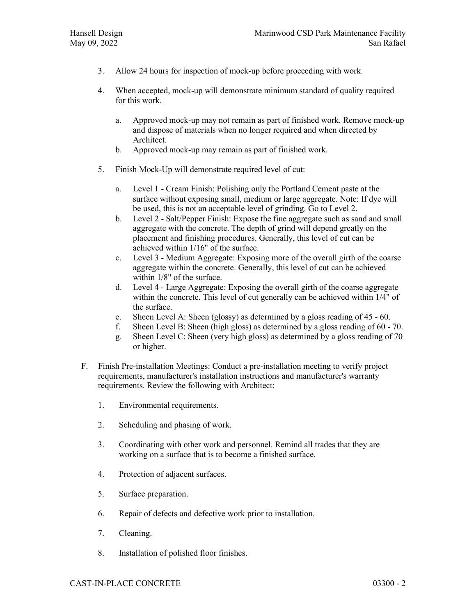- 3. Allow 24 hours for inspection of mock-up before proceeding with work.
- 4. When accepted, mock-up will demonstrate minimum standard of quality required for this work.
	- a. Approved mock-up may not remain as part of finished work. Remove mock-up and dispose of materials when no longer required and when directed by Architect.
	- b. Approved mock-up may remain as part of finished work.
- 5. Finish Mock-Up will demonstrate required level of cut:
	- a. Level 1 Cream Finish: Polishing only the Portland Cement paste at the surface without exposing small, medium or large aggregate. Note: If dye will be used, this is not an acceptable level of grinding. Go to Level 2.
	- b. Level 2 Salt/Pepper Finish: Expose the fine aggregate such as sand and small aggregate with the concrete. The depth of grind will depend greatly on the placement and finishing procedures. Generally, this level of cut can be achieved within 1/16" of the surface.
	- c. Level 3 Medium Aggregate: Exposing more of the overall girth of the coarse aggregate within the concrete. Generally, this level of cut can be achieved within 1/8" of the surface.
	- d. Level 4 Large Aggregate: Exposing the overall girth of the coarse aggregate within the concrete. This level of cut generally can be achieved within  $1/4$ " of the surface.
	- e. Sheen Level A: Sheen (glossy) as determined by a gloss reading of 45 60.
	- f. Sheen Level B: Sheen (high gloss) as determined by a gloss reading of 60 70.
	- g. Sheen Level C: Sheen (very high gloss) as determined by a gloss reading of 70 or higher.
- F. Finish Pre-installation Meetings: Conduct a pre-installation meeting to verify project requirements, manufacturer's installation instructions and manufacturer's warranty requirements. Review the following with Architect:
	- 1. Environmental requirements.
	- 2. Scheduling and phasing of work.
	- 3. Coordinating with other work and personnel. Remind all trades that they are working on a surface that is to become a finished surface.
	- 4. Protection of adjacent surfaces.
	- 5. Surface preparation.
	- 6. Repair of defects and defective work prior to installation.
	- 7. Cleaning.
	- 8. Installation of polished floor finishes.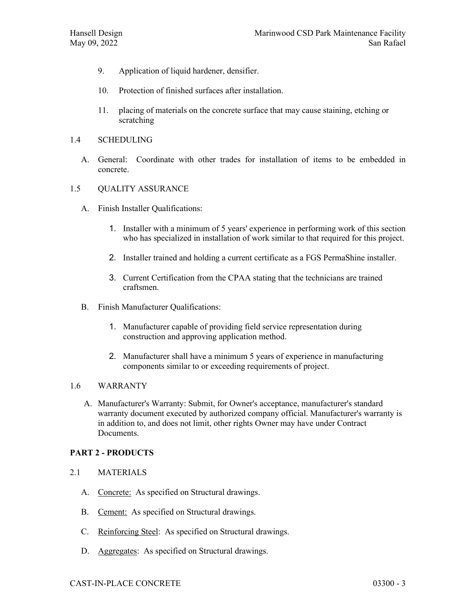- 9. Application of liquid hardener, densifier.
- 10. Protection of finished surfaces after installation.
- 11. placing of materials on the concrete surface that may cause staining, etching or scratching
- 1.4 SCHEDULING
	- A. General: Coordinate with other trades for installation of items to be embedded in concrete.

#### 1.5 QUALITY ASSURANCE

- A. Finish Installer Qualifications:
	- 1. Installer with a minimum of 5 years' experience in performing work of this section who has specialized in installation of work similar to that required for this project.
	- 2. Installer trained and holding a current certificate as a FGS PermaShine installer.
	- 3. Current Certification from the CPAA stating that the technicians are trained craftsmen.
- B. Finish Manufacturer Qualifications:
	- 1. Manufacturer capable of providing field service representation during construction and approving application method.
	- 2. Manufacturer shall have a minimum 5 years of experience in manufacturing components similar to or exceeding requirements of project.

# 1.6 WARRANTY

A. Manufacturer's Warranty: Submit, for Owner's acceptance, manufacturer's standard warranty document executed by authorized company official. Manufacturer's warranty is in addition to, and does not limit, other rights Owner may have under Contract Documents.

# **PART 2 - PRODUCTS**

- 2.1 MATERIALS
	- A. Concrete: As specified on Structural drawings.
	- B. Cement: As specified on Structural drawings.
	- C. Reinforcing Steel: As specified on Structural drawings.
	- D. Aggregates: As specified on Structural drawings.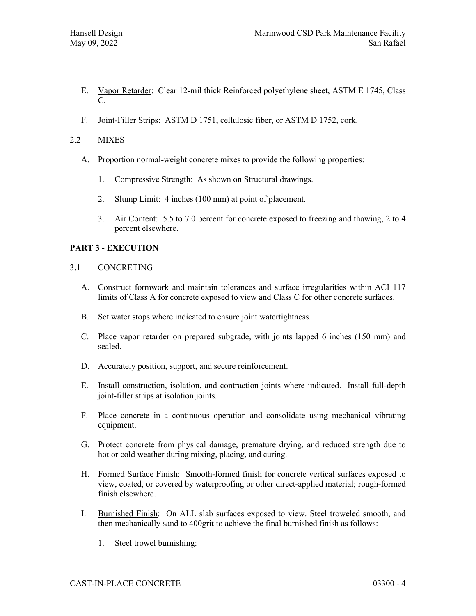- E. Vapor Retarder: Clear 12-mil thick Reinforced polyethylene sheet, ASTM E 1745, Class  $C_{\cdot}$
- F. Joint-Filler Strips: ASTM D 1751, cellulosic fiber, or ASTM D 1752, cork.
- 2.2 MIXES
	- A. Proportion normal-weight concrete mixes to provide the following properties:
		- 1. Compressive Strength: As shown on Structural drawings.
		- 2. Slump Limit: 4 inches (100 mm) at point of placement.
		- 3. Air Content: 5.5 to 7.0 percent for concrete exposed to freezing and thawing, 2 to 4 percent elsewhere.

# **PART 3 - EXECUTION**

- 3.1 CONCRETING
	- A. Construct formwork and maintain tolerances and surface irregularities within ACI 117 limits of Class A for concrete exposed to view and Class C for other concrete surfaces.
	- B. Set water stops where indicated to ensure joint watertightness.
	- C. Place vapor retarder on prepared subgrade, with joints lapped 6 inches (150 mm) and sealed.
	- D. Accurately position, support, and secure reinforcement.
	- E. Install construction, isolation, and contraction joints where indicated. Install full-depth joint-filler strips at isolation joints.
	- F. Place concrete in a continuous operation and consolidate using mechanical vibrating equipment.
	- G. Protect concrete from physical damage, premature drying, and reduced strength due to hot or cold weather during mixing, placing, and curing.
	- H. Formed Surface Finish: Smooth-formed finish for concrete vertical surfaces exposed to view, coated, or covered by waterproofing or other direct-applied material; rough-formed finish elsewhere.
	- I. Burnished Finish: On ALL slab surfaces exposed to view. Steel troweled smooth, and then mechanically sand to 400grit to achieve the final burnished finish as follows:
		- 1. Steel trowel burnishing: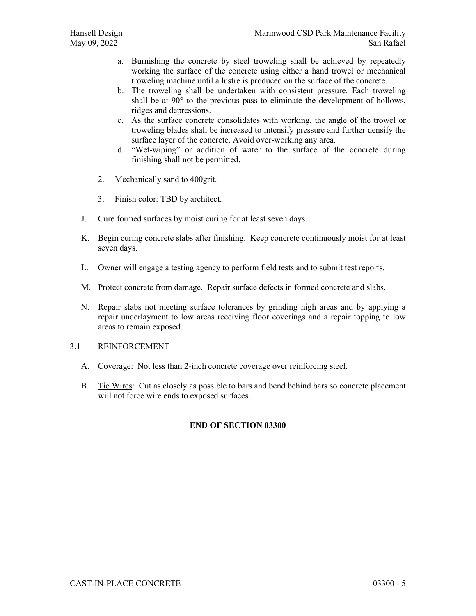- a. Burnishing the concrete by steel troweling shall be achieved by repeatedly working the surface of the concrete using either a hand trowel or mechanical troweling machine until a lustre is produced on the surface of the concrete.
- b. The troweling shall be undertaken with consistent pressure. Each troweling shall be at 90° to the previous pass to eliminate the development of hollows, ridges and depressions.
- c. As the surface concrete consolidates with working, the angle of the trowel or troweling blades shall be increased to intensify pressure and further densify the surface layer of the concrete. Avoid over-working any area.
- d. "Wet-wiping" or addition of water to the surface of the concrete during finishing shall not be permitted.
- 2. Mechanically sand to 400grit.
- 3. Finish color: TBD by architect.
- J. Cure formed surfaces by moist curing for at least seven days.
- K. Begin curing concrete slabs after finishing. Keep concrete continuously moist for at least seven days.
- L. Owner will engage a testing agency to perform field tests and to submit test reports.
- M. Protect concrete from damage. Repair surface defects in formed concrete and slabs.
- N. Repair slabs not meeting surface tolerances by grinding high areas and by applying a repair underlayment to low areas receiving floor coverings and a repair topping to low areas to remain exposed.
- 3.1 REINFORCEMENT
	- A. Coverage: Not less than 2-inch concrete coverage over reinforcing steel.
	- B. Tie Wires: Cut as closely as possible to bars and bend behind bars so concrete placement will not force wire ends to exposed surfaces.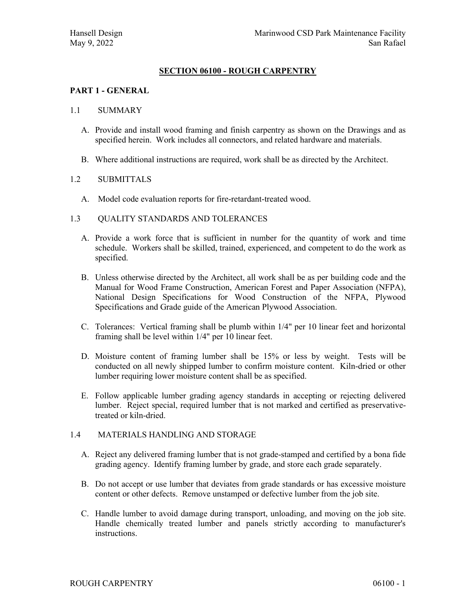# **SECTION 06100 - ROUGH CARPENTRY**

# **PART 1 - GENERAL**

#### 1.1 SUMMARY

- A. Provide and install wood framing and finish carpentry as shown on the Drawings and as specified herein. Work includes all connectors, and related hardware and materials.
- B. Where additional instructions are required, work shall be as directed by the Architect.

#### 1.2 SUBMITTALS

- A. Model code evaluation reports for fire-retardant-treated wood.
- 1.3 QUALITY STANDARDS AND TOLERANCES
	- A. Provide a work force that is sufficient in number for the quantity of work and time schedule. Workers shall be skilled, trained, experienced, and competent to do the work as specified.
	- B. Unless otherwise directed by the Architect, all work shall be as per building code and the Manual for Wood Frame Construction, American Forest and Paper Association (NFPA), National Design Specifications for Wood Construction of the NFPA, Plywood Specifications and Grade guide of the American Plywood Association.
	- C. Tolerances: Vertical framing shall be plumb within 1/4" per 10 linear feet and horizontal framing shall be level within 1/4" per 10 linear feet.
	- D. Moisture content of framing lumber shall be 15% or less by weight. Tests will be conducted on all newly shipped lumber to confirm moisture content. Kiln-dried or other lumber requiring lower moisture content shall be as specified.
	- E. Follow applicable lumber grading agency standards in accepting or rejecting delivered lumber. Reject special, required lumber that is not marked and certified as preservativetreated or kiln-dried.

#### 1.4 MATERIALS HANDLING AND STORAGE

- A. Reject any delivered framing lumber that is not grade-stamped and certified by a bona fide grading agency. Identify framing lumber by grade, and store each grade separately.
- B. Do not accept or use lumber that deviates from grade standards or has excessive moisture content or other defects. Remove unstamped or defective lumber from the job site.
- C. Handle lumber to avoid damage during transport, unloading, and moving on the job site. Handle chemically treated lumber and panels strictly according to manufacturer's instructions.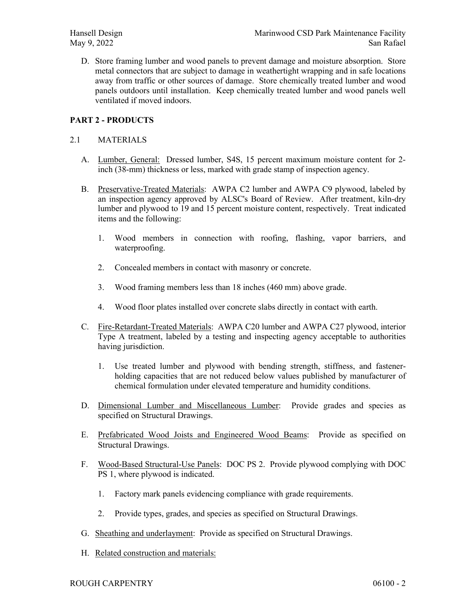D. Store framing lumber and wood panels to prevent damage and moisture absorption. Store metal connectors that are subject to damage in weathertight wrapping and in safe locations away from traffic or other sources of damage. Store chemically treated lumber and wood panels outdoors until installation. Keep chemically treated lumber and wood panels well ventilated if moved indoors.

# **PART 2 - PRODUCTS**

#### 2.1 MATERIALS

- A. Lumber, General: Dressed lumber, S4S, 15 percent maximum moisture content for 2 inch (38-mm) thickness or less, marked with grade stamp of inspection agency.
- B. Preservative-Treated Materials: AWPA C2 lumber and AWPA C9 plywood, labeled by an inspection agency approved by ALSC's Board of Review. After treatment, kiln-dry lumber and plywood to 19 and 15 percent moisture content, respectively. Treat indicated items and the following:
	- 1. Wood members in connection with roofing, flashing, vapor barriers, and waterproofing.
	- 2. Concealed members in contact with masonry or concrete.
	- 3. Wood framing members less than 18 inches (460 mm) above grade.
	- 4. Wood floor plates installed over concrete slabs directly in contact with earth.
- C. Fire-Retardant-Treated Materials: AWPA C20 lumber and AWPA C27 plywood, interior Type A treatment, labeled by a testing and inspecting agency acceptable to authorities having jurisdiction.
	- 1. Use treated lumber and plywood with bending strength, stiffness, and fastenerholding capacities that are not reduced below values published by manufacturer of chemical formulation under elevated temperature and humidity conditions.
- D. Dimensional Lumber and Miscellaneous Lumber: Provide grades and species as specified on Structural Drawings.
- E. Prefabricated Wood Joists and Engineered Wood Beams: Provide as specified on Structural Drawings.
- F. Wood-Based Structural-Use Panels: DOC PS 2. Provide plywood complying with DOC PS 1, where plywood is indicated.
	- 1. Factory mark panels evidencing compliance with grade requirements.
	- 2. Provide types, grades, and species as specified on Structural Drawings.
- G. Sheathing and underlayment: Provide as specified on Structural Drawings.
- H. Related construction and materials: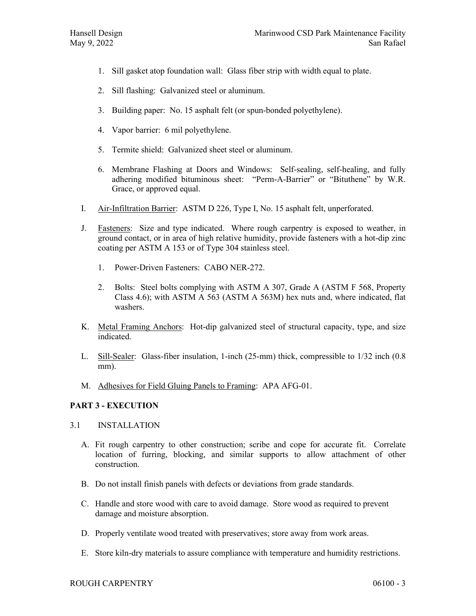- 1. Sill gasket atop foundation wall: Glass fiber strip with width equal to plate.
- 2. Sill flashing: Galvanized steel or aluminum.
- 3. Building paper: No. 15 asphalt felt (or spun-bonded polyethylene).
- 4. Vapor barrier: 6 mil polyethylene.
- 5. Termite shield: Galvanized sheet steel or aluminum.
- 6. Membrane Flashing at Doors and Windows: Self-sealing, self-healing, and fully adhering modified bituminous sheet: "Perm-A-Barrier" or "Bituthene" by W.R. Grace, or approved equal.
- I. Air-Infiltration Barrier: ASTM D 226, Type I, No. 15 asphalt felt, unperforated.
- J. Fasteners: Size and type indicated. Where rough carpentry is exposed to weather, in ground contact, or in area of high relative humidity, provide fasteners with a hot-dip zinc coating per ASTM A 153 or of Type 304 stainless steel.
	- 1. Power-Driven Fasteners: CABO NER-272.
	- 2. Bolts: Steel bolts complying with ASTM A 307, Grade A (ASTM F 568, Property Class 4.6); with ASTM A 563 (ASTM A 563M) hex nuts and, where indicated, flat washers.
- K. Metal Framing Anchors: Hot-dip galvanized steel of structural capacity, type, and size indicated.
- L. Sill-Sealer: Glass-fiber insulation, 1-inch (25-mm) thick, compressible to 1/32 inch (0.8 mm).
- M. Adhesives for Field Gluing Panels to Framing: APA AFG-01.

#### **PART 3 - EXECUTION**

- 3.1 INSTALLATION
	- A. Fit rough carpentry to other construction; scribe and cope for accurate fit. Correlate location of furring, blocking, and similar supports to allow attachment of other construction.
	- B. Do not install finish panels with defects or deviations from grade standards.
	- C. Handle and store wood with care to avoid damage. Store wood as required to prevent damage and moisture absorption.
	- D. Properly ventilate wood treated with preservatives; store away from work areas.
	- E. Store kiln-dry materials to assure compliance with temperature and humidity restrictions.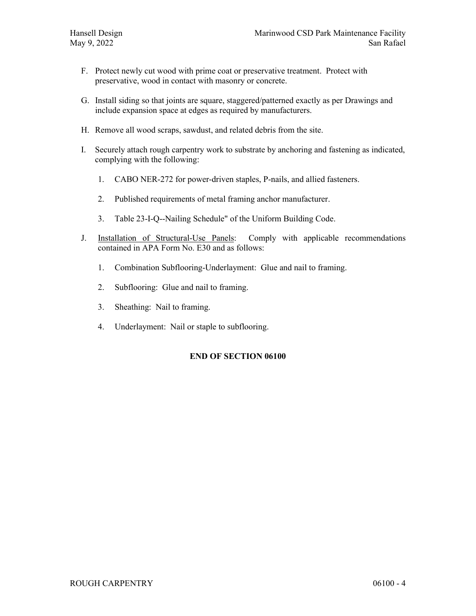- F. Protect newly cut wood with prime coat or preservative treatment. Protect with preservative, wood in contact with masonry or concrete.
- G. Install siding so that joints are square, staggered/patterned exactly as per Drawings and include expansion space at edges as required by manufacturers.
- H. Remove all wood scraps, sawdust, and related debris from the site.
- I. Securely attach rough carpentry work to substrate by anchoring and fastening as indicated, complying with the following:
	- 1. CABO NER-272 for power-driven staples, P-nails, and allied fasteners.
	- 2. Published requirements of metal framing anchor manufacturer.
	- 3. Table 23-I-Q--Nailing Schedule" of the Uniform Building Code.
- J. Installation of Structural-Use Panels: Comply with applicable recommendations contained in APA Form No. E30 and as follows:
	- 1. Combination Subflooring-Underlayment: Glue and nail to framing.
	- 2. Subflooring: Glue and nail to framing.
	- 3. Sheathing: Nail to framing.
	- 4. Underlayment: Nail or staple to subflooring.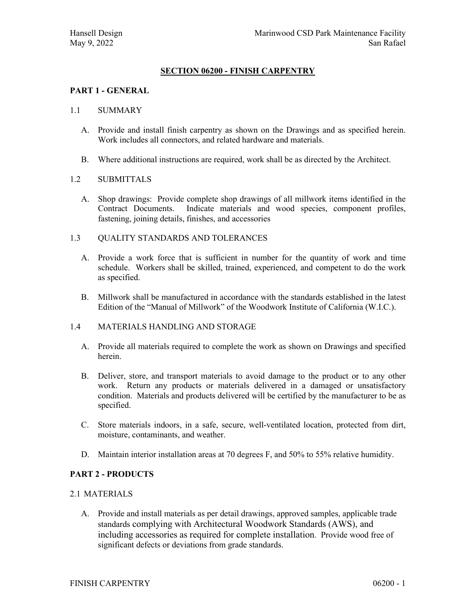# **SECTION 06200 - FINISH CARPENTRY**

#### **PART 1 - GENERAL**

#### 1.1 SUMMARY

- A. Provide and install finish carpentry as shown on the Drawings and as specified herein. Work includes all connectors, and related hardware and materials.
- B. Where additional instructions are required, work shall be as directed by the Architect.

#### 1.2 SUBMITTALS

A. Shop drawings: Provide complete shop drawings of all millwork items identified in the Contract Documents. Indicate materials and wood species, component profiles, fastening, joining details, finishes, and accessories

#### 1.3 QUALITY STANDARDS AND TOLERANCES

- A. Provide a work force that is sufficient in number for the quantity of work and time schedule. Workers shall be skilled, trained, experienced, and competent to do the work as specified.
- B. Millwork shall be manufactured in accordance with the standards established in the latest Edition of the "Manual of Millwork" of the Woodwork Institute of California (W.I.C.).

#### 1.4 MATERIALS HANDLING AND STORAGE

- A. Provide all materials required to complete the work as shown on Drawings and specified herein.
- B. Deliver, store, and transport materials to avoid damage to the product or to any other work. Return any products or materials delivered in a damaged or unsatisfactory condition. Materials and products delivered will be certified by the manufacturer to be as specified.
- C. Store materials indoors, in a safe, secure, well-ventilated location, protected from dirt, moisture, contaminants, and weather.
- D. Maintain interior installation areas at 70 degrees F, and 50% to 55% relative humidity.

# **PART 2 - PRODUCTS**

#### 2.1 MATERIALS

A. Provide and install materials as per detail drawings, approved samples, applicable trade standards complying with Architectural Woodwork Standards (AWS), and including accessories as required for complete installation. Provide wood free of significant defects or deviations from grade standards.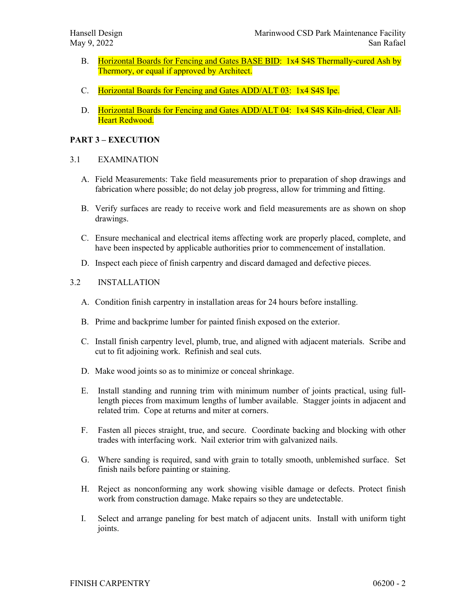- B. Horizontal Boards for Fencing and Gates BASE BID: 1x4 S4S Thermally-cured Ash by Thermory, or equal if approved by Architect.
- C. Horizontal Boards for Fencing and Gates ADD/ALT 03: 1x4 S4S Ipe.
- D. Horizontal Boards for Fencing and Gates ADD/ALT 04: 1x4 S4S Kiln-dried, Clear All-Heart Redwood.

#### **PART 3 – EXECUTION**

#### 3.1 EXAMINATION

- A. Field Measurements: Take field measurements prior to preparation of shop drawings and fabrication where possible; do not delay job progress, allow for trimming and fitting.
- B. Verify surfaces are ready to receive work and field measurements are as shown on shop drawings.
- C. Ensure mechanical and electrical items affecting work are properly placed, complete, and have been inspected by applicable authorities prior to commencement of installation.
- D. Inspect each piece of finish carpentry and discard damaged and defective pieces.

#### 3.2 INSTALLATION

- A. Condition finish carpentry in installation areas for 24 hours before installing.
- B. Prime and backprime lumber for painted finish exposed on the exterior.
- C. Install finish carpentry level, plumb, true, and aligned with adjacent materials. Scribe and cut to fit adjoining work. Refinish and seal cuts.
- D. Make wood joints so as to minimize or conceal shrinkage.
- E. Install standing and running trim with minimum number of joints practical, using fulllength pieces from maximum lengths of lumber available. Stagger joints in adjacent and related trim. Cope at returns and miter at corners.
- F. Fasten all pieces straight, true, and secure. Coordinate backing and blocking with other trades with interfacing work. Nail exterior trim with galvanized nails.
- G. Where sanding is required, sand with grain to totally smooth, unblemished surface. Set finish nails before painting or staining.
- H. Reject as nonconforming any work showing visible damage or defects. Protect finish work from construction damage. Make repairs so they are undetectable.
- I. Select and arrange paneling for best match of adjacent units. Install with uniform tight joints.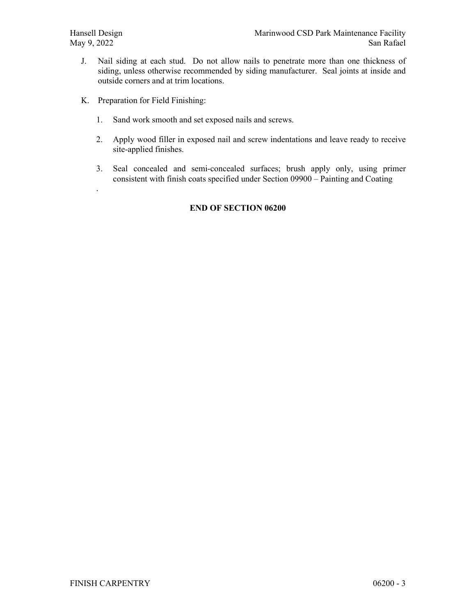.

- J. Nail siding at each stud. Do not allow nails to penetrate more than one thickness of siding, unless otherwise recommended by siding manufacturer. Seal joints at inside and outside corners and at trim locations.
- K. Preparation for Field Finishing:
	- 1. Sand work smooth and set exposed nails and screws.
	- 2. Apply wood filler in exposed nail and screw indentations and leave ready to receive site-applied finishes.
	- 3. Seal concealed and semi-concealed surfaces; brush apply only, using primer consistent with finish coats specified under Section 09900 – Painting and Coating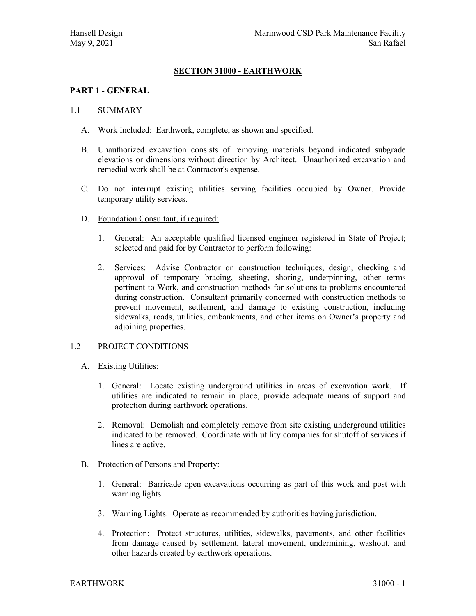# **SECTION 31000 - EARTHWORK**

#### **PART 1 - GENERAL**

#### 1.1 SUMMARY

- A. Work Included: Earthwork, complete, as shown and specified.
- B. Unauthorized excavation consists of removing materials beyond indicated subgrade elevations or dimensions without direction by Architect. Unauthorized excavation and remedial work shall be at Contractor's expense.
- C. Do not interrupt existing utilities serving facilities occupied by Owner. Provide temporary utility services.
- D. Foundation Consultant, if required:
	- 1. General: An acceptable qualified licensed engineer registered in State of Project; selected and paid for by Contractor to perform following:
	- 2. Services: Advise Contractor on construction techniques, design, checking and approval of temporary bracing, sheeting, shoring, underpinning, other terms pertinent to Work, and construction methods for solutions to problems encountered during construction. Consultant primarily concerned with construction methods to prevent movement, settlement, and damage to existing construction, including sidewalks, roads, utilities, embankments, and other items on Owner's property and adioining properties.

#### 1.2 PROJECT CONDITIONS

- A. Existing Utilities:
	- 1. General: Locate existing underground utilities in areas of excavation work. If utilities are indicated to remain in place, provide adequate means of support and protection during earthwork operations.
	- 2. Removal: Demolish and completely remove from site existing underground utilities indicated to be removed. Coordinate with utility companies for shutoff of services if lines are active.
- B. Protection of Persons and Property:
	- 1. General: Barricade open excavations occurring as part of this work and post with warning lights.
	- 3. Warning Lights: Operate as recommended by authorities having jurisdiction.
	- 4. Protection: Protect structures, utilities, sidewalks, pavements, and other facilities from damage caused by settlement, lateral movement, undermining, washout, and other hazards created by earthwork operations.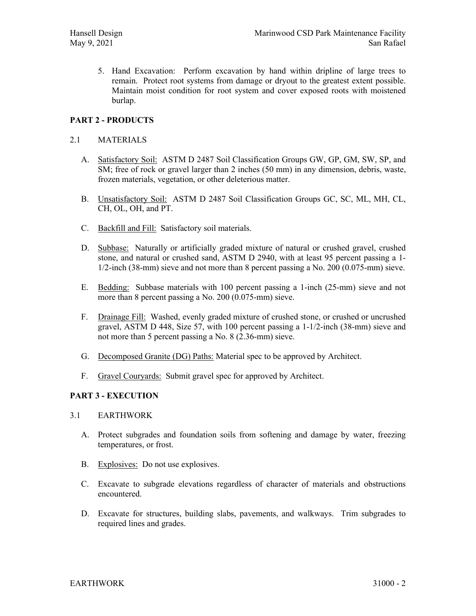5. Hand Excavation: Perform excavation by hand within dripline of large trees to remain. Protect root systems from damage or dryout to the greatest extent possible. Maintain moist condition for root system and cover exposed roots with moistened burlap.

# **PART 2 - PRODUCTS**

#### 2.1 MATERIALS

- A. Satisfactory Soil: ASTM D 2487 Soil Classification Groups GW, GP, GM, SW, SP, and SM; free of rock or gravel larger than 2 inches (50 mm) in any dimension, debris, waste, frozen materials, vegetation, or other deleterious matter.
- B. Unsatisfactory Soil: ASTM D 2487 Soil Classification Groups GC, SC, ML, MH, CL, CH, OL, OH, and PT.
- C. Backfill and Fill: Satisfactory soil materials.
- D. Subbase: Naturally or artificially graded mixture of natural or crushed gravel, crushed stone, and natural or crushed sand, ASTM D 2940, with at least 95 percent passing a 1- 1/2-inch (38-mm) sieve and not more than 8 percent passing a No. 200 (0.075-mm) sieve.
- E. Bedding: Subbase materials with 100 percent passing a 1-inch (25-mm) sieve and not more than 8 percent passing a No.  $200 (0.075 \text{-} \text{mm})$  sieve.
- F. Drainage Fill: Washed, evenly graded mixture of crushed stone, or crushed or uncrushed gravel, ASTM D 448, Size 57, with 100 percent passing a 1-1/2-inch (38-mm) sieve and not more than 5 percent passing a No. 8 (2.36-mm) sieve.
- G. Decomposed Granite (DG) Paths: Material spec to be approved by Architect.
- F. Gravel Couryards: Submit gravel spec for approved by Architect.

# **PART 3 - EXECUTION**

#### 3.1 EARTHWORK

- A. Protect subgrades and foundation soils from softening and damage by water, freezing temperatures, or frost.
- B. Explosives: Do not use explosives.
- C. Excavate to subgrade elevations regardless of character of materials and obstructions encountered.
- D. Excavate for structures, building slabs, pavements, and walkways. Trim subgrades to required lines and grades.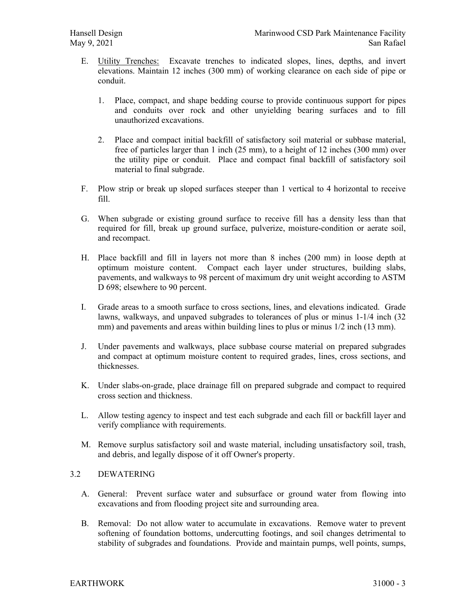- E. Utility Trenches: Excavate trenches to indicated slopes, lines, depths, and invert elevations. Maintain 12 inches (300 mm) of working clearance on each side of pipe or conduit.
	- 1. Place, compact, and shape bedding course to provide continuous support for pipes and conduits over rock and other unyielding bearing surfaces and to fill unauthorized excavations.
	- 2. Place and compact initial backfill of satisfactory soil material or subbase material, free of particles larger than 1 inch (25 mm), to a height of 12 inches (300 mm) over the utility pipe or conduit. Place and compact final backfill of satisfactory soil material to final subgrade.
- F. Plow strip or break up sloped surfaces steeper than 1 vertical to 4 horizontal to receive fill.
- G. When subgrade or existing ground surface to receive fill has a density less than that required for fill, break up ground surface, pulverize, moisture-condition or aerate soil, and recompact.
- H. Place backfill and fill in layers not more than 8 inches (200 mm) in loose depth at optimum moisture content. Compact each layer under structures, building slabs, pavements, and walkways to 98 percent of maximum dry unit weight according to ASTM D 698; elsewhere to 90 percent.
- I. Grade areas to a smooth surface to cross sections, lines, and elevations indicated. Grade lawns, walkways, and unpaved subgrades to tolerances of plus or minus 1-1/4 inch (32 mm) and pavements and areas within building lines to plus or minus 1/2 inch (13 mm).
- J. Under pavements and walkways, place subbase course material on prepared subgrades and compact at optimum moisture content to required grades, lines, cross sections, and thicknesses.
- K. Under slabs-on-grade, place drainage fill on prepared subgrade and compact to required cross section and thickness.
- L. Allow testing agency to inspect and test each subgrade and each fill or backfill layer and verify compliance with requirements.
- M. Remove surplus satisfactory soil and waste material, including unsatisfactory soil, trash, and debris, and legally dispose of it off Owner's property.

# 3.2 DEWATERING

- A. General: Prevent surface water and subsurface or ground water from flowing into excavations and from flooding project site and surrounding area.
- B. Removal: Do not allow water to accumulate in excavations. Remove water to prevent softening of foundation bottoms, undercutting footings, and soil changes detrimental to stability of subgrades and foundations. Provide and maintain pumps, well points, sumps,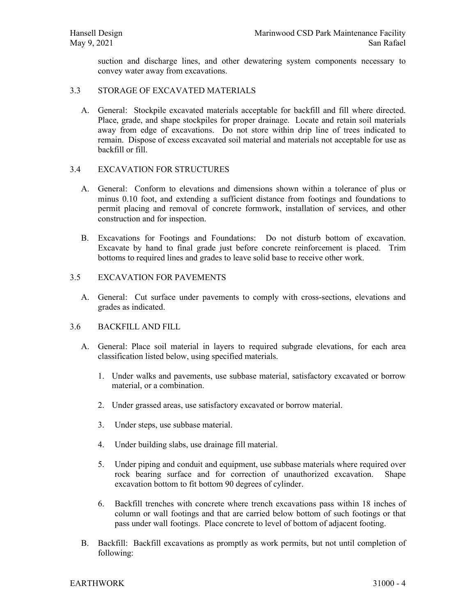suction and discharge lines, and other dewatering system components necessary to convey water away from excavations.

#### 3.3 STORAGE OF EXCAVATED MATERIALS

A. General: Stockpile excavated materials acceptable for backfill and fill where directed. Place, grade, and shape stockpiles for proper drainage. Locate and retain soil materials away from edge of excavations. Do not store within drip line of trees indicated to remain. Dispose of excess excavated soil material and materials not acceptable for use as backfill or fill.

#### 3.4 EXCAVATION FOR STRUCTURES

- A. General: Conform to elevations and dimensions shown within a tolerance of plus or minus 0.10 foot, and extending a sufficient distance from footings and foundations to permit placing and removal of concrete formwork, installation of services, and other construction and for inspection.
- B. Excavations for Footings and Foundations: Do not disturb bottom of excavation. Excavate by hand to final grade just before concrete reinforcement is placed. Trim bottoms to required lines and grades to leave solid base to receive other work.

# 3.5 EXCAVATION FOR PAVEMENTS

A. General: Cut surface under pavements to comply with cross-sections, elevations and grades as indicated.

#### 3.6 BACKFILL AND FILL

- A. General: Place soil material in layers to required subgrade elevations, for each area classification listed below, using specified materials.
	- 1. Under walks and pavements, use subbase material, satisfactory excavated or borrow material, or a combination.
	- 2. Under grassed areas, use satisfactory excavated or borrow material.
	- 3. Under steps, use subbase material.
	- 4. Under building slabs, use drainage fill material.
	- 5. Under piping and conduit and equipment, use subbase materials where required over rock bearing surface and for correction of unauthorized excavation. Shape excavation bottom to fit bottom 90 degrees of cylinder.
	- 6. Backfill trenches with concrete where trench excavations pass within 18 inches of column or wall footings and that are carried below bottom of such footings or that pass under wall footings. Place concrete to level of bottom of adjacent footing.
- B. Backfill: Backfill excavations as promptly as work permits, but not until completion of following: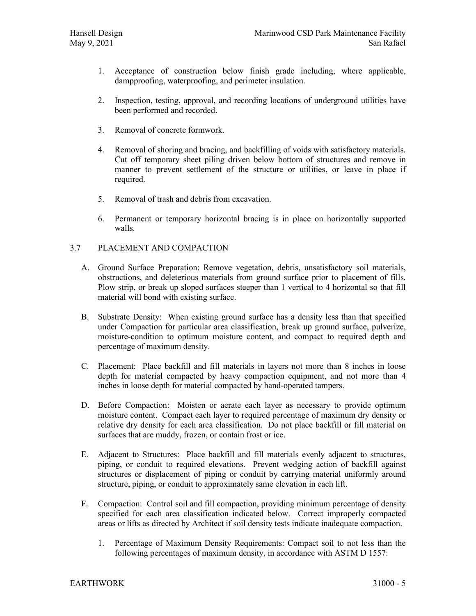- 1. Acceptance of construction below finish grade including, where applicable, dampproofing, waterproofing, and perimeter insulation.
- 2. Inspection, testing, approval, and recording locations of underground utilities have been performed and recorded.
- 3. Removal of concrete formwork.
- 4. Removal of shoring and bracing, and backfilling of voids with satisfactory materials. Cut off temporary sheet piling driven below bottom of structures and remove in manner to prevent settlement of the structure or utilities, or leave in place if required.
- 5. Removal of trash and debris from excavation.
- 6. Permanent or temporary horizontal bracing is in place on horizontally supported walls.

# 3.7 PLACEMENT AND COMPACTION

- A. Ground Surface Preparation: Remove vegetation, debris, unsatisfactory soil materials, obstructions, and deleterious materials from ground surface prior to placement of fills. Plow strip, or break up sloped surfaces steeper than 1 vertical to 4 horizontal so that fill material will bond with existing surface.
- B. Substrate Density: When existing ground surface has a density less than that specified under Compaction for particular area classification, break up ground surface, pulverize, moisture-condition to optimum moisture content, and compact to required depth and percentage of maximum density.
- C. Placement: Place backfill and fill materials in layers not more than 8 inches in loose depth for material compacted by heavy compaction equipment, and not more than 4 inches in loose depth for material compacted by hand-operated tampers.
- D. Before Compaction: Moisten or aerate each layer as necessary to provide optimum moisture content. Compact each layer to required percentage of maximum dry density or relative dry density for each area classification. Do not place backfill or fill material on surfaces that are muddy, frozen, or contain frost or ice.
- E. Adjacent to Structures: Place backfill and fill materials evenly adjacent to structures, piping, or conduit to required elevations. Prevent wedging action of backfill against structures or displacement of piping or conduit by carrying material uniformly around structure, piping, or conduit to approximately same elevation in each lift.
- F. Compaction: Control soil and fill compaction, providing minimum percentage of density specified for each area classification indicated below. Correct improperly compacted areas or lifts as directed by Architect if soil density tests indicate inadequate compaction.
	- 1. Percentage of Maximum Density Requirements: Compact soil to not less than the following percentages of maximum density, in accordance with ASTM D 1557: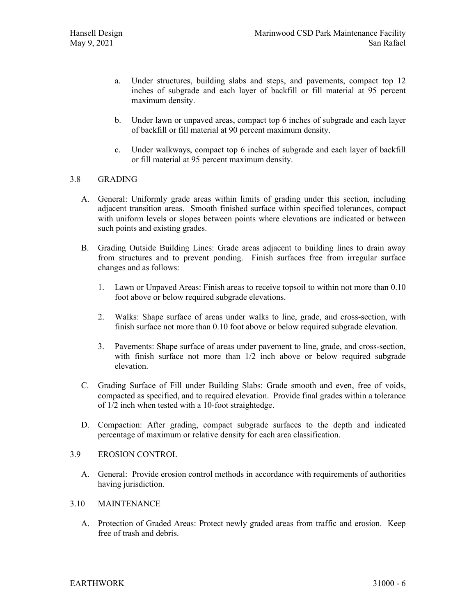- a. Under structures, building slabs and steps, and pavements, compact top 12 inches of subgrade and each layer of backfill or fill material at 95 percent maximum density.
- b. Under lawn or unpaved areas, compact top 6 inches of subgrade and each layer of backfill or fill material at 90 percent maximum density.
- c. Under walkways, compact top 6 inches of subgrade and each layer of backfill or fill material at 95 percent maximum density.

# 3.8 GRADING

- A. General: Uniformly grade areas within limits of grading under this section, including adjacent transition areas. Smooth finished surface within specified tolerances, compact with uniform levels or slopes between points where elevations are indicated or between such points and existing grades.
- B. Grading Outside Building Lines: Grade areas adjacent to building lines to drain away from structures and to prevent ponding. Finish surfaces free from irregular surface changes and as follows:
	- 1. Lawn or Unpaved Areas: Finish areas to receive topsoil to within not more than 0.10 foot above or below required subgrade elevations.
	- 2. Walks: Shape surface of areas under walks to line, grade, and cross-section, with finish surface not more than 0.10 foot above or below required subgrade elevation.
	- 3. Pavements: Shape surface of areas under pavement to line, grade, and cross-section, with finish surface not more than  $1/2$  inch above or below required subgrade elevation.
- C. Grading Surface of Fill under Building Slabs: Grade smooth and even, free of voids, compacted as specified, and to required elevation. Provide final grades within a tolerance of 1/2 inch when tested with a 10-foot straightedge.
- D. Compaction: After grading, compact subgrade surfaces to the depth and indicated percentage of maximum or relative density for each area classification.

#### 3.9 EROSION CONTROL

A. General: Provide erosion control methods in accordance with requirements of authorities having jurisdiction.

#### 3.10 MAINTENANCE

A. Protection of Graded Areas: Protect newly graded areas from traffic and erosion. Keep free of trash and debris.

EARTHWORK 31000 - 6